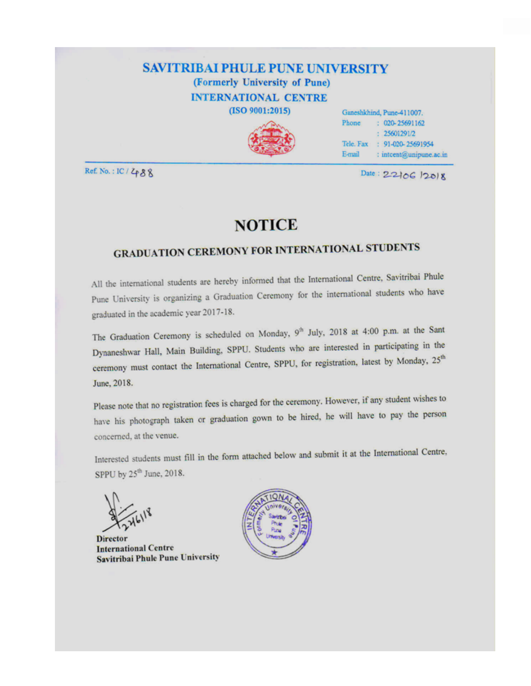#### **SAVITRIBAI PHULE PUNE UNIVERSITY** (Formerly University of Pune) **INTERNATIONAL CENTRE**  $(ISO 9001:2015)$ Ganeshkhind, Pune-411007.



Ref. No.: IC / 488

Date: 22106 12018

: 91-020-25691954

: intcent@unipune.ac.in

 $: 020 - 25691162$  $: 25601291/2$ 

Phone

Tele. Fax

E-mail

## **NOTICE**

# **GRADUATION CEREMONY FOR INTERNATIONAL STUDENTS**

All the international students are hereby informed that the International Centre, Savitribai Phule Pune University is organizing a Graduation Ceremony for the international students who have graduated in the academic year 2017-18.

The Graduation Ceremony is scheduled on Monday, 9<sup>th</sup> July, 2018 at 4:00 p.m. at the Sant Dynaneshwar Hall, Main Building, SPPU. Students who are interested in participating in the ceremony must contact the International Centre, SPPU, for registration, latest by Monday, 25<sup>th</sup> June, 2018.

Please note that no registration fees is charged for the ceremony. However, if any student wishes to have his photograph taken or graduation gown to be hired, he will have to pay the person concerned, at the venue.

Interested students must fill in the form attached below and submit it at the International Centre, SPPU by 25<sup>th</sup> June, 2018.

**Director International Centre** Savitribai Phule Pune University